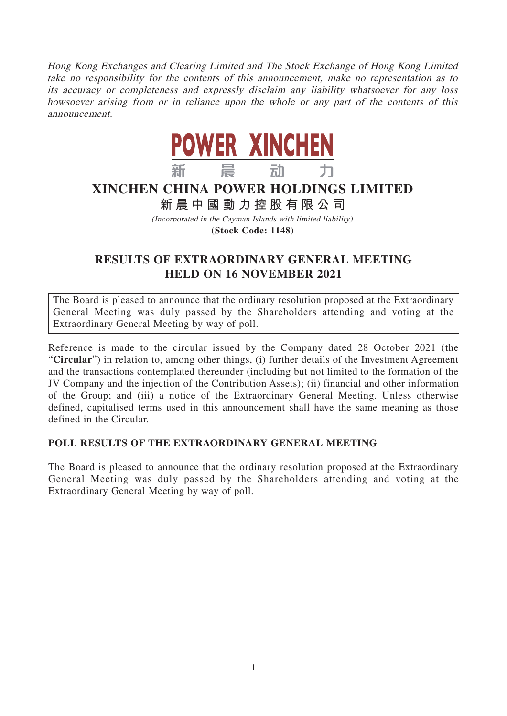Hong Kong Exchanges and Clearing Limited and The Stock Exchange of Hong Kong Limited take no responsibility for the contents of this announcement, make no representation as to its accuracy or completeness and expressly disclaim any liability whatsoever for any loss howsoever arising from or in reliance upon the whole or any part of the contents of this announcement.



## **XINCHEN CHINA POWER HOLDINGS LIMITED**

## **新晨中國動力控股有限公 司**

(Incorporated in the Cayman Islands with limited liability) **(Stock Code: 1148)**

## **RESULTS OF EXTRAORDINARY GENERAL MEETING HELD ON 16 NOVEMBER 2021**

The Board is pleased to announce that the ordinary resolution proposed at the Extraordinary General Meeting was duly passed by the Shareholders attending and voting at the Extraordinary General Meeting by way of poll.

Reference is made to the circular issued by the Company dated 28 October 2021 (the "**Circular**") in relation to, among other things, (i) further details of the Investment Agreement and the transactions contemplated thereunder (including but not limited to the formation of the JV Company and the injection of the Contribution Assets); (ii) financial and other information of the Group; and (iii) a notice of the Extraordinary General Meeting. Unless otherwise defined, capitalised terms used in this announcement shall have the same meaning as those defined in the Circular.

## **POLL RESULTS OF THE EXTRAORDINARY GENERAL MEETING**

The Board is pleased to announce that the ordinary resolution proposed at the Extraordinary General Meeting was duly passed by the Shareholders attending and voting at the Extraordinary General Meeting by way of poll.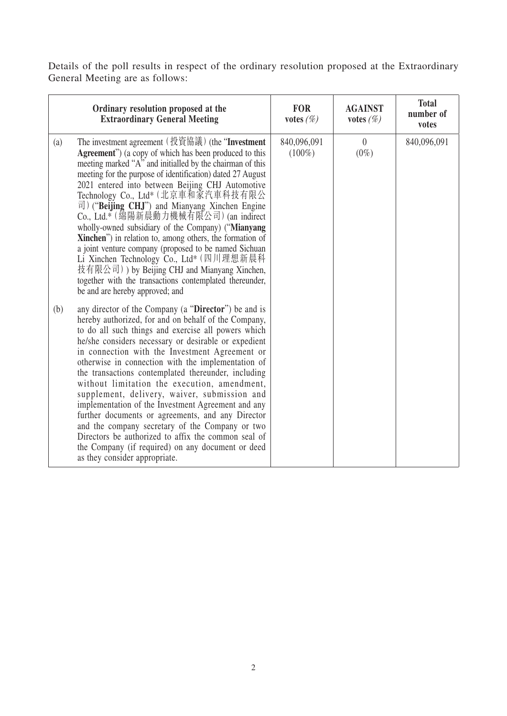Details of the poll results in respect of the ordinary resolution proposed at the Extraordinary General Meeting are as follows:

|            | Ordinary resolution proposed at the<br><b>Extraordinary General Meeting</b>                                                                                                                                                                                                                                                                                                                                                                                                                                                                                                                                                                                                                                                                                                                                                                                                                                                                                                                                                                                    | <b>FOR</b><br>votes $(\%)$ | <b>AGAINST</b><br>votes $(\%)$ | <b>Total</b><br>number of<br>votes |
|------------|----------------------------------------------------------------------------------------------------------------------------------------------------------------------------------------------------------------------------------------------------------------------------------------------------------------------------------------------------------------------------------------------------------------------------------------------------------------------------------------------------------------------------------------------------------------------------------------------------------------------------------------------------------------------------------------------------------------------------------------------------------------------------------------------------------------------------------------------------------------------------------------------------------------------------------------------------------------------------------------------------------------------------------------------------------------|----------------------------|--------------------------------|------------------------------------|
| (a)<br>(b) | The investment agreement (投資協議) (the "Investment<br><b>Agreement</b> ") (a copy of which has been produced to this<br>meeting marked "A" and initialled by the chairman of this<br>meeting for the purpose of identification) dated 27 August<br>2021 entered into between Beijing CHJ Automotive<br>Technology Co., Ltd* (北京車和家汽車科技有限公<br>$\overrightarrow{\Pi}$ ) ("Beijing CHJ") and Mianyang Xinchen Engine<br>Co., Ltd.* (綿陽新晨動力機械有限公司) (an indirect<br>wholly-owned subsidiary of the Company) ("Mianyang<br>Xinchen") in relation to, among others, the formation of<br>a joint venture company (proposed to be named Sichuan<br>Li Xinchen Technology Co., Ltd* (四川理想新晨科<br>技有限公司) ) by Beijing CHJ and Mianyang Xinchen,<br>together with the transactions contemplated thereunder,<br>be and are hereby approved; and<br>any director of the Company (a "Director") be and is<br>hereby authorized, for and on behalf of the Company,<br>to do all such things and exercise all powers which<br>he/she considers necessary or desirable or expedient | 840,096,091<br>$(100\%)$   | $\theta$<br>$(0\%)$            | 840,096,091                        |
|            | in connection with the Investment Agreement or<br>otherwise in connection with the implementation of<br>the transactions contemplated thereunder, including<br>without limitation the execution, amendment,<br>supplement, delivery, waiver, submission and<br>implementation of the Investment Agreement and any<br>further documents or agreements, and any Director<br>and the company secretary of the Company or two<br>Directors be authorized to affix the common seal of<br>the Company (if required) on any document or deed<br>as they consider appropriate.                                                                                                                                                                                                                                                                                                                                                                                                                                                                                         |                            |                                |                                    |